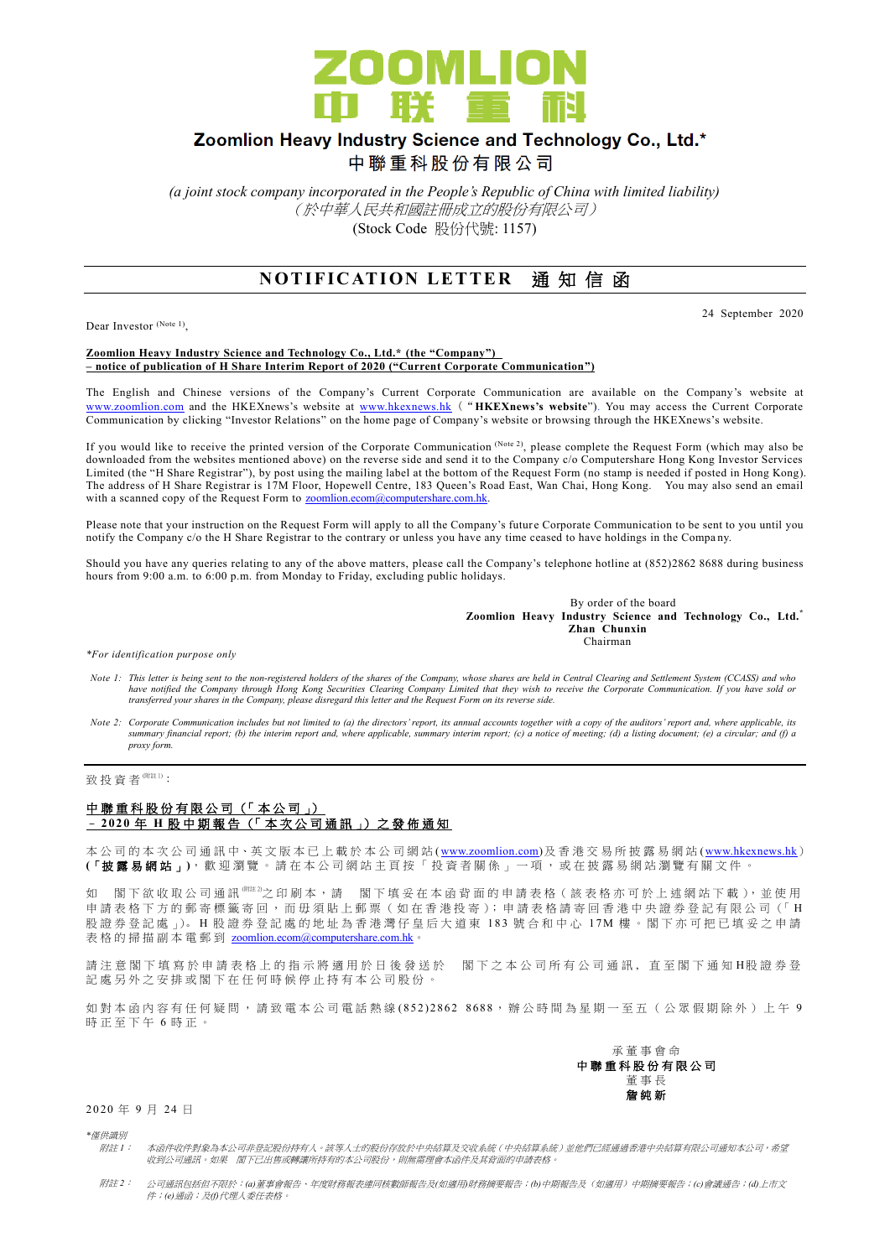

# Zoomlion Heavy Industry Science and Technology Co., Ltd.\*

中聯重科股份有限公司

*(a joint stock company incorporated in the People's Republic of China with limited liability)* (於中華人民共和國註冊成立的股份有限公司) (Stock Code 股份代號: 1157)

## **NOTIFICATION LETTER 通知信函**

Dear Investor (Note 1),

24 September 2020

#### **Zoomlion Heavy Industry Science and Technology Co., Ltd.\* (the "Company") – notice of publication of H Share Interim Report of 2020 ("Current Corporate Communication")**

The English and Chinese versions of the Company's Current Corporate Communication are available on the Company's website at [www.zoomlion.com](http://www.zoomlion.com/) and the HKEXnews's website at [www.hkexnews.hk](http://www.hkexnews.hk/) ("**HKEXnews's website**"). You may access the Current Corporate Communication by clicking "Investor Relations" on the home page of Company's website or browsing through the HKEXnews's website.

If you would like to receive the printed version of the Corporate Communication (Note 2), please complete the Request Form (which may also be downloaded from the websites mentioned above) on the reverse side and send it to the Company c/o Computershare Hong Kong Investor Services Limited (the "H Share Registrar"), by post using the mailing label at the bottom of the Request Form (no stamp is needed if posted in Hong Kong). The address of H Share Registrar is 17M Floor, Hopewell Centre, 183 Queen's Road East, Wan Chai, Hong Kong. You may also send an email with a scanned copy of the Request Form to [zoomlion.ecom@computershare.com.hk.](mailto:zoomlion.ecom@computershare.com.hk)

Please note that your instruction on the Request Form will apply to all the Company's future Corporate Communication to be sent to you until you notify the Company c/o the H Share Registrar to the contrary or unless you have any time ceased to have holdings in the Company.

Should you have any queries relating to any of the above matters, please call the Company's telephone hotline at (852)2862 8688 during business hours from 9:00 a.m. to 6:00 p.m. from Monday to Friday, excluding public holidays.

> By order of the board **Zoomlion Heavy Industry Science and Technology Co., Ltd.\* Zhan Chunxin Chairman**

*\*For identification purpose only*

- *Note 1: This letter is being sent to the non-registered holders of the shares of the Company, whose shares are held in Central Clearing and Settlement System (CCASS) and who*  have notified the Company through Hong Kong Securities Clearing Company Limited that they wish to receive the Corporate Communication. If you have sold or<br>transferred your shares in the Company, please disregard this lette
- *Note 2: Corporate Communication includes but not limited to (a) the directors' report, its annual accounts together with a copy of the auditors' report and, where applicable, its summary financial report; (b) the interim report and, where applicable, summary interim report; (c) a notice of meeting; (d) a listing document; (e) a circular; and (f) a proxy form.*

### 致投資者<sup>附註1)</sup>:

#### 中聯重科股份有限公司 (「本公司」) – **2 02 0** 年 **H** 股 中 期 報 告 (「 本 次 公 司 通 訊 」) 之 發 佈 通 知

本公司的 本 次 公 司 通 訊 中、英 文 版 本 已 上 載於本 公 司 網 站 [\(www.zoomlion.com\)](http://www.zoomlion.com/)及香港交易所披露易網站 [\(www.hkexnews.hk](http://www.hkexnews.hk/)) **(**「披露易網站 」**)**,歡迎瀏覽。 請 在 本 公 司 網 站 主 頁 按 「 投 資 者 關 係 」 一 項 , 或 在 披 露 易 網 站 瀏 覽 有 關 文 件 。

如 閣下欲收取公司通訊<sup>《睢》</sup>之印刷本,請 閣下填妥在本函背面的申請表格(該表格亦可於上述網站下載),並使用 申請表格下方的郵寄標籤寄回,而毋須貼上郵票 (如在香港投寄); 申請表格請寄回香港中央證券登記有限公司 (「H 股證券登記處 心。H 股證券登記處的地址為香港灣仔皇后大道東 183號合和中心 17M 樓。閣下亦可把已填妥之申請 表格的掃描副本電郵到 [zoomlion.ecom@computershare.com.hk](mailto:zoomlion.ecom@computershare.com.hk)

請注 意 閣 下 填 寫 於 申 請 表 格 上 的 指 示 將 適 用 於 日 後 發 送 於 图 下 之 本 公 司 所 有 公 司 通 訊 , 直 至 閣 下 通 知 H股 證 券 登 記處另外之安排或閣下在任何時候停止持有本公司股份。

如對本函內容有任何疑問,請致電本公司電話熱線 (852) 2862 8688,辦公時間為星期一至五(公眾假期除外)上午 9 時正至下午 6 時正。



2 0 20 年 9 月 24 日

*\**僅供識別

- 附註 *1*: 本函件收件對象為本公司非登記股份持有人。該等人士的股份存放於中央結算及交收系統(中央結算系統)並他們已經通過香港中央結算有限公司通知本公司,希望 收到公司通訊。如果 閣下已出售或轉讓所持有的本公司股份,則無需理會本函件及其背面的申請表格。
- 附註 *2*: 公司通訊包括但不限於:*(a)*董事會報告、年度財務報表連同核數師報告及*(*如適用*)*財務摘要報告;*(b)*中期報告及(如適用)中期摘要報告;*(c)*會議通告;*(d)*上市文 件;*(e)*通函;及*(f)*代理人委任表格。